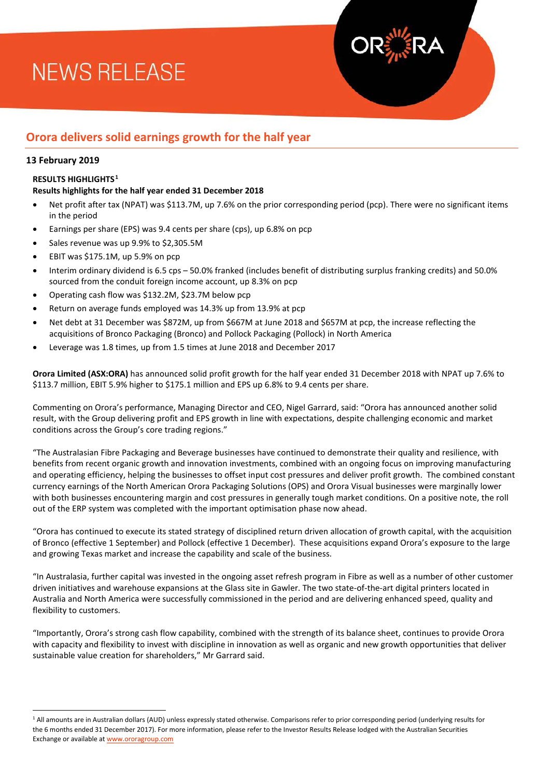# **NEWS RELEASE**



# **Orora delivers solid earnings growth for the half year**

## **13 February 2019**

 $\overline{\phantom{a}}$ 

### **RESULTS HIGHLIGHTS[1](#page-0-0)**

### **Results highlights for the half year ended 31 December 2018**

- Net profit after tax (NPAT) was \$113.7M, up 7.6% on the prior corresponding period (pcp). There were no significant items in the period
- Earnings per share (EPS) was 9.4 cents per share (cps), up 6.8% on pcp
- Sales revenue was up 9.9% to \$2,305.5M
- EBIT was \$175.1M, up 5.9% on pcp
- Interim ordinary dividend is 6.5 cps 50.0% franked (includes benefit of distributing surplus franking credits) and 50.0% sourced from the conduit foreign income account, up 8.3% on pcp
- Operating cash flow was \$132.2M, \$23.7M below pcp
- Return on average funds employed was 14.3% up from 13.9% at pcp
- Net debt at 31 December was \$872M, up from \$667M at June 2018 and \$657M at pcp, the increase reflecting the acquisitions of Bronco Packaging (Bronco) and Pollock Packaging (Pollock) in North America
- Leverage was 1.8 times, up from 1.5 times at June 2018 and December 2017

**Orora Limited (ASX:ORA)** has announced solid profit growth for the half year ended 31 December 2018 with NPAT up 7.6% to \$113.7 million, EBIT 5.9% higher to \$175.1 million and EPS up 6.8% to 9.4 cents per share.

Commenting on Orora's performance, Managing Director and CEO, Nigel Garrard, said: "Orora has announced another solid result, with the Group delivering profit and EPS growth in line with expectations, despite challenging economic and market conditions across the Group's core trading regions."

"The Australasian Fibre Packaging and Beverage businesses have continued to demonstrate their quality and resilience, with benefits from recent organic growth and innovation investments, combined with an ongoing focus on improving manufacturing and operating efficiency, helping the businesses to offset input cost pressures and deliver profit growth. The combined constant currency earnings of the North American Orora Packaging Solutions (OPS) and Orora Visual businesses were marginally lower with both businesses encountering margin and cost pressures in generally tough market conditions. On a positive note, the roll out of the ERP system was completed with the important optimisation phase now ahead.

"Orora has continued to execute its stated strategy of disciplined return driven allocation of growth capital, with the acquisition of Bronco (effective 1 September) and Pollock (effective 1 December). These acquisitions expand Orora's exposure to the large and growing Texas market and increase the capability and scale of the business.

"In Australasia, further capital was invested in the ongoing asset refresh program in Fibre as well as a number of other customer driven initiatives and warehouse expansions at the Glass site in Gawler. The two state-of-the-art digital printers located in Australia and North America were successfully commissioned in the period and are delivering enhanced speed, quality and flexibility to customers.

"Importantly, Orora's strong cash flow capability, combined with the strength of its balance sheet, continues to provide Orora with capacity and flexibility to invest with discipline in innovation as well as organic and new growth opportunities that deliver sustainable value creation for shareholders," Mr Garrard said.

<span id="page-0-0"></span><sup>&</sup>lt;sup>1</sup> All amounts are in Australian dollars (AUD) unless expressly stated otherwise. Comparisons refer to prior corresponding period (underlying results for the 6 months ended 31 December 2017). For more information, please refer to the Investor Results Release lodged with the Australian Securities Exchange or available a[t www.ororagroup.com](http://www.ororagroup.com/)